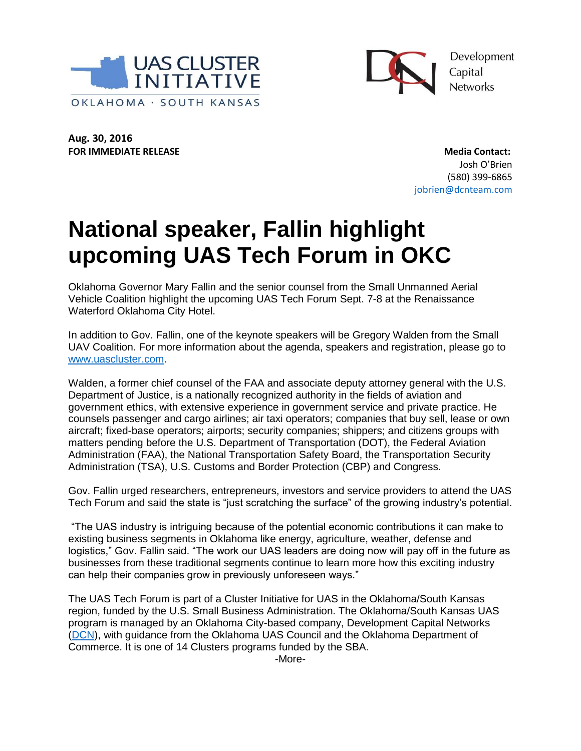



Development Capital **Networks** 

**Aug. 30, 2016 FOR IMMEDIATE RELEASE Media Contact:** 

Josh O'Brien (580) 399‐6865 jobrien@dcnteam.com

## **National speaker, Fallin highlight upcoming UAS Tech Forum in OKC**

Oklahoma Governor Mary Fallin and the senior counsel from the Small Unmanned Aerial Vehicle Coalition highlight the upcoming UAS Tech Forum Sept. 7-8 at the Renaissance Waterford Oklahoma City Hotel.

In addition to Gov. Fallin, one of the keynote speakers will be Gregory Walden from the Small UAV Coalition. For more information about the agenda, speakers and registration, please go to [www.uascluster.com.](http://www.uascluster.com/)

Walden, a former chief counsel of the FAA and associate deputy attorney general with the U.S. Department of Justice, is a nationally recognized authority in the fields of aviation and government ethics, with extensive experience in government service and private practice. He counsels passenger and cargo airlines; air taxi operators; companies that buy sell, lease or own aircraft; fixed-base operators; airports; security companies; shippers; and citizens groups with matters pending before the U.S. Department of Transportation (DOT), the Federal Aviation Administration (FAA), the National Transportation Safety Board, the Transportation Security Administration (TSA), U.S. Customs and Border Protection (CBP) and Congress.

Gov. Fallin urged researchers, entrepreneurs, investors and service providers to attend the UAS Tech Forum and said the state is "just scratching the surface" of the growing industry's potential.

"The UAS industry is intriguing because of the potential economic contributions it can make to existing business segments in Oklahoma like energy, agriculture, weather, defense and logistics," Gov. Fallin said. "The work our UAS leaders are doing now will pay off in the future as businesses from these traditional segments continue to learn more how this exciting industry can help their companies grow in previously unforeseen ways."

The UAS Tech Forum is part of a Cluster Initiative for UAS in the Oklahoma/South Kansas region, funded by the U.S. Small Business Administration. The Oklahoma/South Kansas UAS program is managed by an Oklahoma City-based company, Development Capital Networks [\(DCN\)](http://www.dcnteam.com/), with guidance from the Oklahoma UAS Council and the Oklahoma Department of Commerce. It is one of 14 Clusters programs funded by the SBA.

-More-